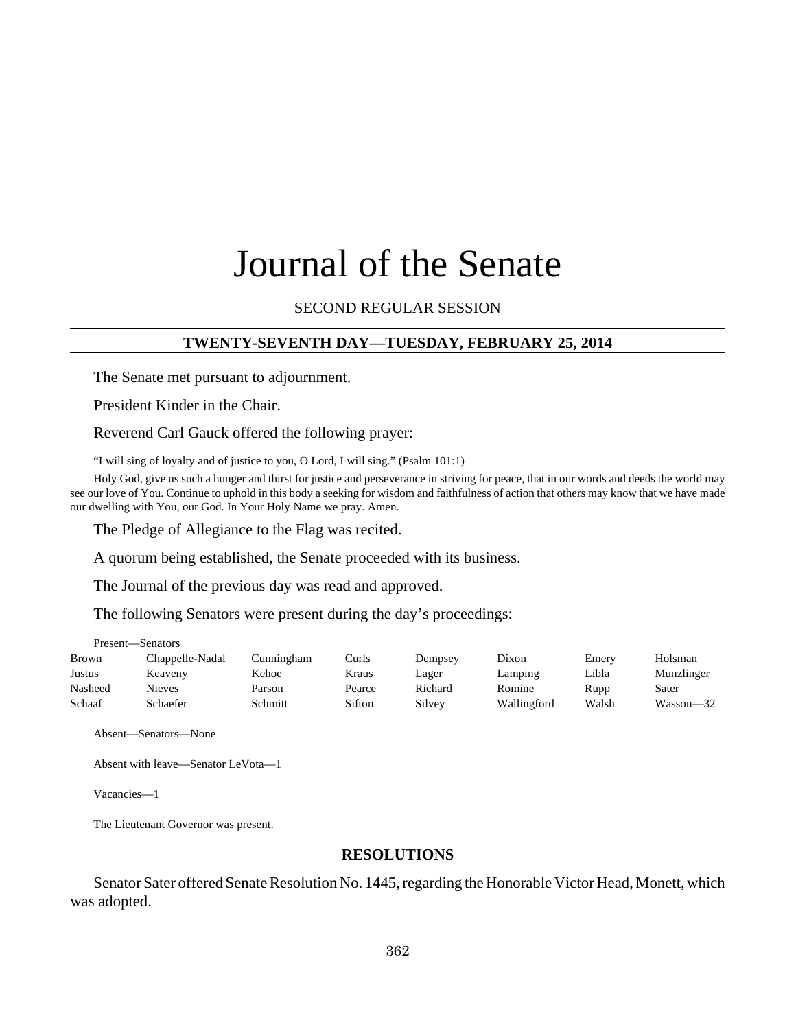# Journal of the Senate

SECOND REGULAR SESSION

## **TWENTY-SEVENTH DAY—TUESDAY, FEBRUARY 25, 2014**

The Senate met pursuant to adjournment.

President Kinder in the Chair.

Reverend Carl Gauck offered the following prayer:

"I will sing of loyalty and of justice to you, O Lord, I will sing." (Psalm 101:1)

Holy God, give us such a hunger and thirst for justice and perseverance in striving for peace, that in our words and deeds the world may see our love of You. Continue to uphold in this body a seeking for wisdom and faithfulness of action that others may know that we have made our dwelling with You, our God. In Your Holy Name we pray. Amen.

The Pledge of Allegiance to the Flag was recited.

A quorum being established, the Senate proceeded with its business.

The Journal of the previous day was read and approved.

The following Senators were present during the day's proceedings:

| <b>Brown</b>  | Chappelle-Nadal | Cunningham | Curls  | Dempsey | Dixon       | Emerv | Holsman    |
|---------------|-----------------|------------|--------|---------|-------------|-------|------------|
| <b>Justus</b> | Keaveny         | Kehoe      | Kraus  | ∟ager   | Lamping     | Libla | Munzlinger |
| Nasheed       | Nieves          | Parson     | Pearce | Richard | Romine      | Rupp  | Sater      |
| Schaaf        | Schaefer        | Schmitt    | Sifton | Silvev  | Wallingford | Walsh | Wasson—32  |

Absent—Senators—None

Present—Senators

Absent with leave—Senator LeVota—1

Vacancies—1

The Lieutenant Governor was present.

#### **RESOLUTIONS**

Senator Sater offered Senate Resolution No. 1445, regarding the Honorable Victor Head, Monett, which was adopted.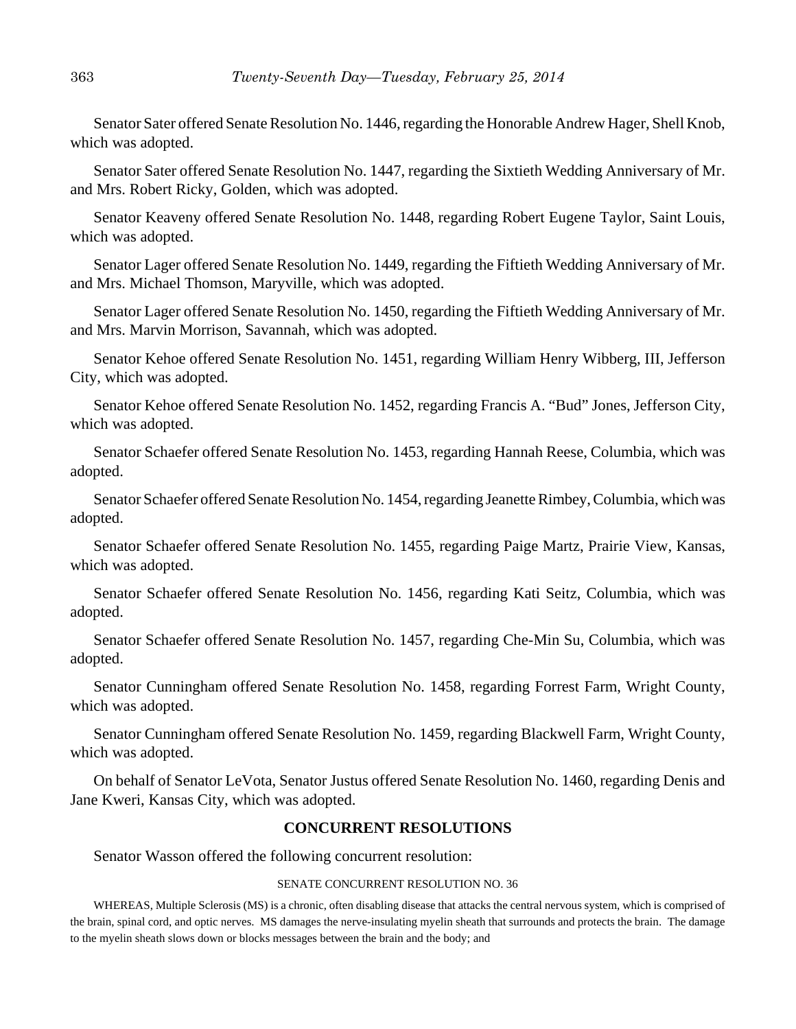Senator Sater offered Senate Resolution No. 1446, regarding the Honorable Andrew Hager, Shell Knob, which was adopted.

Senator Sater offered Senate Resolution No. 1447, regarding the Sixtieth Wedding Anniversary of Mr. and Mrs. Robert Ricky, Golden, which was adopted.

Senator Keaveny offered Senate Resolution No. 1448, regarding Robert Eugene Taylor, Saint Louis, which was adopted.

Senator Lager offered Senate Resolution No. 1449, regarding the Fiftieth Wedding Anniversary of Mr. and Mrs. Michael Thomson, Maryville, which was adopted.

Senator Lager offered Senate Resolution No. 1450, regarding the Fiftieth Wedding Anniversary of Mr. and Mrs. Marvin Morrison, Savannah, which was adopted.

Senator Kehoe offered Senate Resolution No. 1451, regarding William Henry Wibberg, III, Jefferson City, which was adopted.

Senator Kehoe offered Senate Resolution No. 1452, regarding Francis A. "Bud" Jones, Jefferson City, which was adopted.

Senator Schaefer offered Senate Resolution No. 1453, regarding Hannah Reese, Columbia, which was adopted.

Senator Schaefer offered Senate Resolution No. 1454, regarding Jeanette Rimbey, Columbia, which was adopted.

Senator Schaefer offered Senate Resolution No. 1455, regarding Paige Martz, Prairie View, Kansas, which was adopted.

Senator Schaefer offered Senate Resolution No. 1456, regarding Kati Seitz, Columbia, which was adopted.

Senator Schaefer offered Senate Resolution No. 1457, regarding Che-Min Su, Columbia, which was adopted.

Senator Cunningham offered Senate Resolution No. 1458, regarding Forrest Farm, Wright County, which was adopted.

Senator Cunningham offered Senate Resolution No. 1459, regarding Blackwell Farm, Wright County, which was adopted.

On behalf of Senator LeVota, Senator Justus offered Senate Resolution No. 1460, regarding Denis and Jane Kweri, Kansas City, which was adopted.

#### **CONCURRENT RESOLUTIONS**

Senator Wasson offered the following concurrent resolution:

#### SENATE CONCURRENT RESOLUTION NO. 36

WHEREAS, Multiple Sclerosis (MS) is a chronic, often disabling disease that attacks the central nervous system, which is comprised of the brain, spinal cord, and optic nerves. MS damages the nerve-insulating myelin sheath that surrounds and protects the brain. The damage to the myelin sheath slows down or blocks messages between the brain and the body; and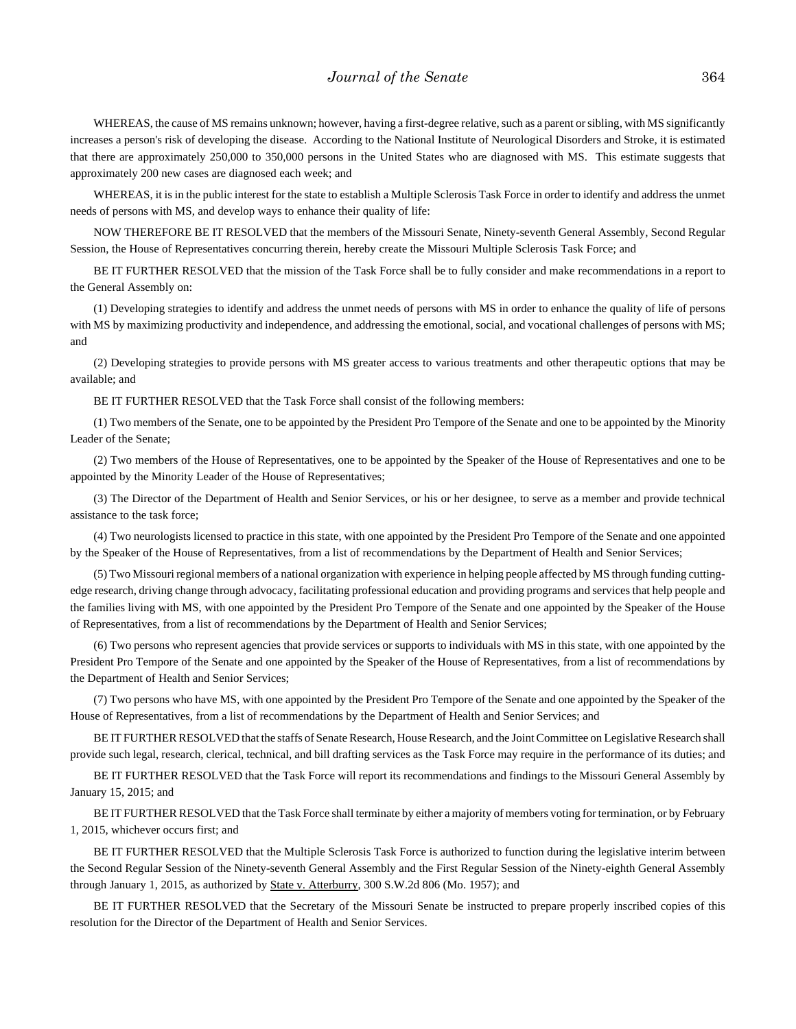WHEREAS, the cause of MS remains unknown; however, having a first-degree relative, such as a parent or sibling, with MS significantly increases a person's risk of developing the disease. According to the National Institute of Neurological Disorders and Stroke, it is estimated that there are approximately 250,000 to 350,000 persons in the United States who are diagnosed with MS. This estimate suggests that approximately 200 new cases are diagnosed each week; and

WHEREAS, it is in the public interest for the state to establish a Multiple Sclerosis Task Force in order to identify and address the unmet needs of persons with MS, and develop ways to enhance their quality of life:

NOW THEREFORE BE IT RESOLVED that the members of the Missouri Senate, Ninety-seventh General Assembly, Second Regular Session, the House of Representatives concurring therein, hereby create the Missouri Multiple Sclerosis Task Force; and

BE IT FURTHER RESOLVED that the mission of the Task Force shall be to fully consider and make recommendations in a report to the General Assembly on:

(1) Developing strategies to identify and address the unmet needs of persons with MS in order to enhance the quality of life of persons with MS by maximizing productivity and independence, and addressing the emotional, social, and vocational challenges of persons with MS; and

(2) Developing strategies to provide persons with MS greater access to various treatments and other therapeutic options that may be available; and

BE IT FURTHER RESOLVED that the Task Force shall consist of the following members:

 (1) Two members of the Senate, one to be appointed by the President Pro Tempore of the Senate and one to be appointed by the Minority Leader of the Senate;

(2) Two members of the House of Representatives, one to be appointed by the Speaker of the House of Representatives and one to be appointed by the Minority Leader of the House of Representatives;

(3) The Director of the Department of Health and Senior Services, or his or her designee, to serve as a member and provide technical assistance to the task force;

(4) Two neurologists licensed to practice in this state, with one appointed by the President Pro Tempore of the Senate and one appointed by the Speaker of the House of Representatives, from a list of recommendations by the Department of Health and Senior Services;

(5) Two Missouri regional members of a national organization with experience in helping people affected by MS through funding cuttingedge research, driving change through advocacy, facilitating professional education and providing programs and services that help people and the families living with MS, with one appointed by the President Pro Tempore of the Senate and one appointed by the Speaker of the House of Representatives, from a list of recommendations by the Department of Health and Senior Services;

(6) Two persons who represent agencies that provide services or supports to individuals with MS in this state, with one appointed by the President Pro Tempore of the Senate and one appointed by the Speaker of the House of Representatives, from a list of recommendations by the Department of Health and Senior Services;

(7) Two persons who have MS, with one appointed by the President Pro Tempore of the Senate and one appointed by the Speaker of the House of Representatives, from a list of recommendations by the Department of Health and Senior Services; and

BE IT FURTHER RESOLVED that the staffs of Senate Research, House Research, and the Joint Committee on Legislative Research shall provide such legal, research, clerical, technical, and bill drafting services as the Task Force may require in the performance of its duties; and

BE IT FURTHER RESOLVED that the Task Force will report its recommendations and findings to the Missouri General Assembly by January 15, 2015; and

BE IT FURTHER RESOLVED that the Task Force shall terminate by either a majority of members voting for termination, or by February 1, 2015, whichever occurs first; and

BE IT FURTHER RESOLVED that the Multiple Sclerosis Task Force is authorized to function during the legislative interim between the Second Regular Session of the Ninety-seventh General Assembly and the First Regular Session of the Ninety-eighth General Assembly through January 1, 2015, as authorized by State v. Atterburry, 300 S.W.2d 806 (Mo. 1957); and

BE IT FURTHER RESOLVED that the Secretary of the Missouri Senate be instructed to prepare properly inscribed copies of this resolution for the Director of the Department of Health and Senior Services.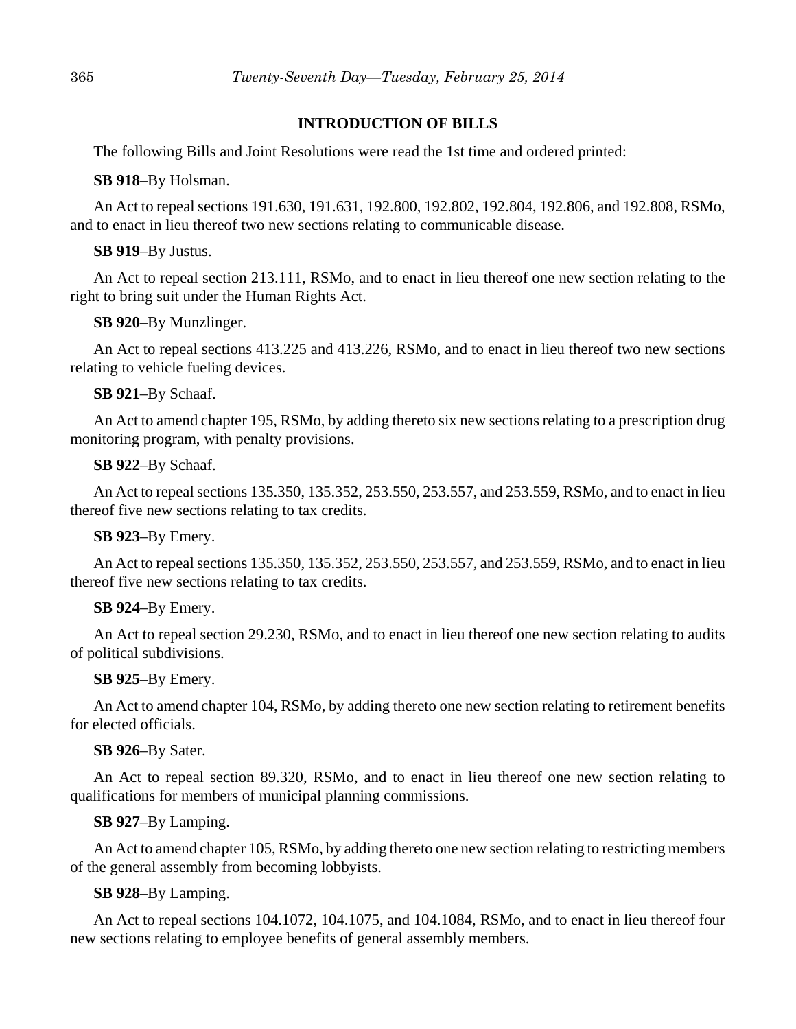## **INTRODUCTION OF BILLS**

The following Bills and Joint Resolutions were read the 1st time and ordered printed:

#### **SB 918**–By Holsman.

An Act to repeal sections 191.630, 191.631, 192.800, 192.802, 192.804, 192.806, and 192.808, RSMo, and to enact in lieu thereof two new sections relating to communicable disease.

## **SB 919**–By Justus.

An Act to repeal section 213.111, RSMo, and to enact in lieu thereof one new section relating to the right to bring suit under the Human Rights Act.

## **SB 920**–By Munzlinger.

An Act to repeal sections 413.225 and 413.226, RSMo, and to enact in lieu thereof two new sections relating to vehicle fueling devices.

## **SB 921**–By Schaaf.

An Act to amend chapter 195, RSMo, by adding thereto six new sections relating to a prescription drug monitoring program, with penalty provisions.

## **SB 922**–By Schaaf.

An Act to repeal sections 135.350, 135.352, 253.550, 253.557, and 253.559, RSMo, and to enact in lieu thereof five new sections relating to tax credits.

## **SB 923**–By Emery.

An Act to repeal sections 135.350, 135.352, 253.550, 253.557, and 253.559, RSMo, and to enact in lieu thereof five new sections relating to tax credits.

# **SB 924**–By Emery.

An Act to repeal section 29.230, RSMo, and to enact in lieu thereof one new section relating to audits of political subdivisions.

## **SB 925**–By Emery.

An Act to amend chapter 104, RSMo, by adding thereto one new section relating to retirement benefits for elected officials.

## **SB 926**–By Sater.

An Act to repeal section 89.320, RSMo, and to enact in lieu thereof one new section relating to qualifications for members of municipal planning commissions.

# **SB 927**–By Lamping.

An Act to amend chapter 105, RSMo, by adding thereto one new section relating to restricting members of the general assembly from becoming lobbyists.

# **SB 928**–By Lamping.

An Act to repeal sections 104.1072, 104.1075, and 104.1084, RSMo, and to enact in lieu thereof four new sections relating to employee benefits of general assembly members.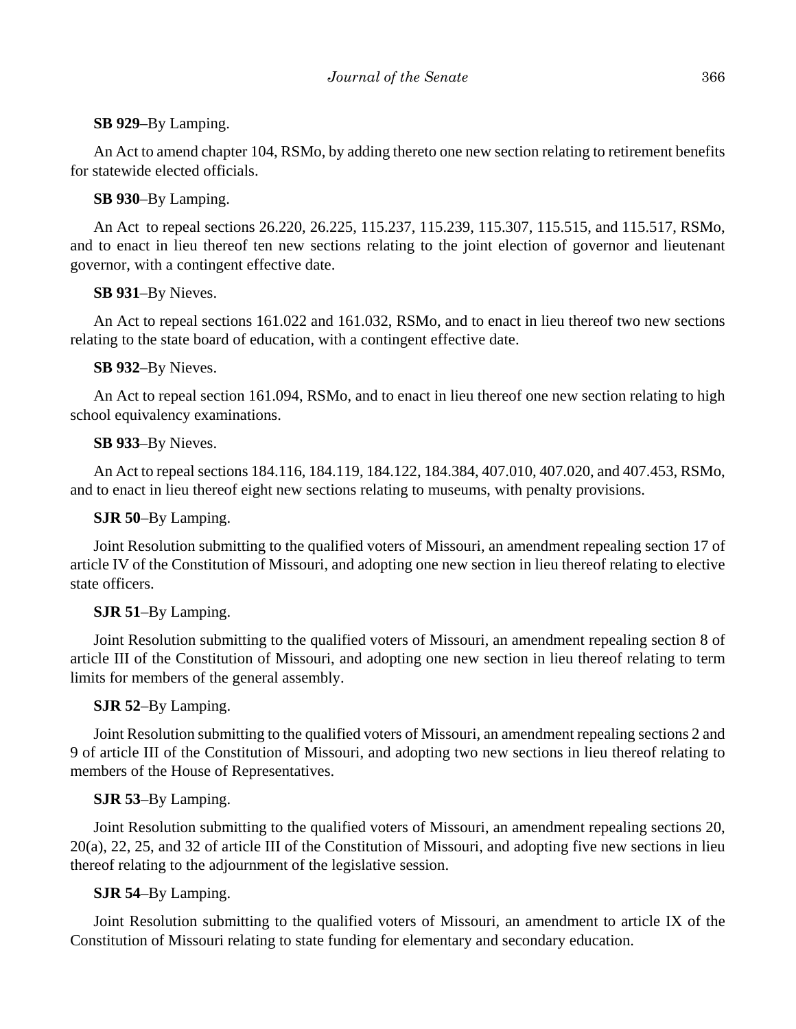## **SB 929**–By Lamping.

An Act to amend chapter 104, RSMo, by adding thereto one new section relating to retirement benefits for statewide elected officials.

## **SB 930**–By Lamping.

An Act to repeal sections 26.220, 26.225, 115.237, 115.239, 115.307, 115.515, and 115.517, RSMo, and to enact in lieu thereof ten new sections relating to the joint election of governor and lieutenant governor, with a contingent effective date.

# **SB 931**–By Nieves.

An Act to repeal sections 161.022 and 161.032, RSMo, and to enact in lieu thereof two new sections relating to the state board of education, with a contingent effective date.

## **SB 932**–By Nieves.

An Act to repeal section 161.094, RSMo, and to enact in lieu thereof one new section relating to high school equivalency examinations.

## **SB 933**–By Nieves.

An Act to repeal sections 184.116, 184.119, 184.122, 184.384, 407.010, 407.020, and 407.453, RSMo, and to enact in lieu thereof eight new sections relating to museums, with penalty provisions.

## **SJR 50**–By Lamping.

Joint Resolution submitting to the qualified voters of Missouri, an amendment repealing section 17 of article IV of the Constitution of Missouri, and adopting one new section in lieu thereof relating to elective state officers.

# **SJR 51**–By Lamping.

Joint Resolution submitting to the qualified voters of Missouri, an amendment repealing section 8 of article III of the Constitution of Missouri, and adopting one new section in lieu thereof relating to term limits for members of the general assembly.

# **SJR 52**–By Lamping.

Joint Resolution submitting to the qualified voters of Missouri, an amendment repealing sections 2 and 9 of article III of the Constitution of Missouri, and adopting two new sections in lieu thereof relating to members of the House of Representatives.

# **SJR 53**–By Lamping.

Joint Resolution submitting to the qualified voters of Missouri, an amendment repealing sections 20, 20(a), 22, 25, and 32 of article III of the Constitution of Missouri, and adopting five new sections in lieu thereof relating to the adjournment of the legislative session.

# **SJR 54**–By Lamping.

Joint Resolution submitting to the qualified voters of Missouri, an amendment to article IX of the Constitution of Missouri relating to state funding for elementary and secondary education.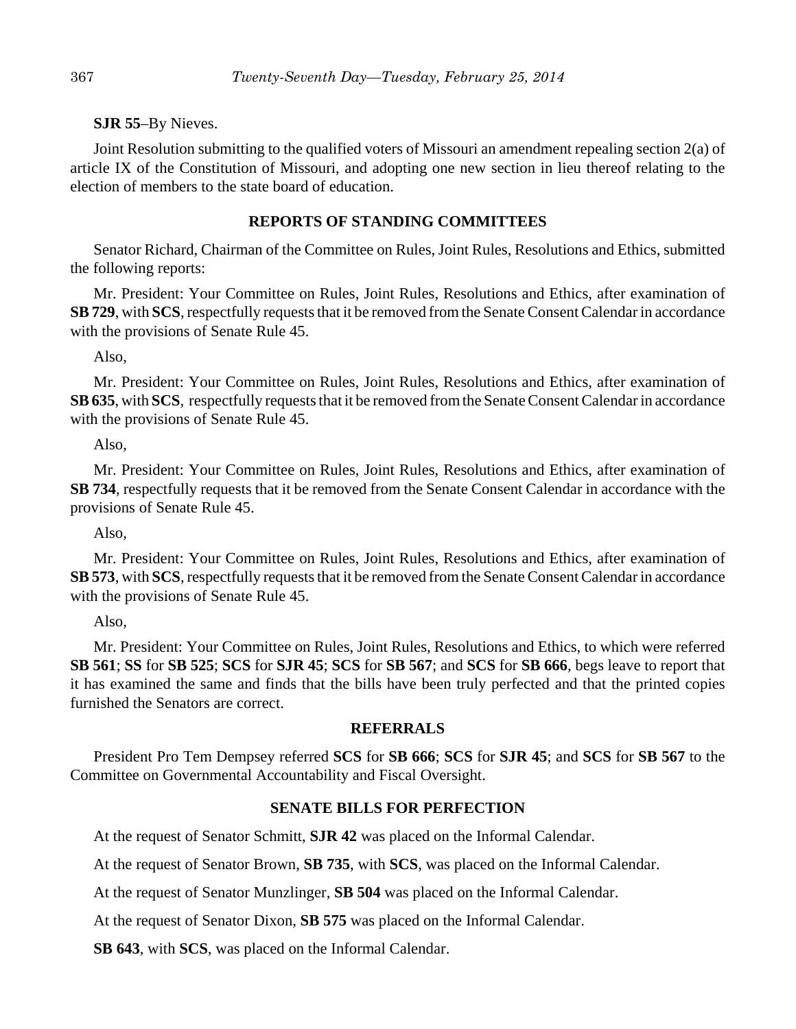#### **SJR 55**–By Nieves.

Joint Resolution submitting to the qualified voters of Missouri an amendment repealing section 2(a) of article IX of the Constitution of Missouri, and adopting one new section in lieu thereof relating to the election of members to the state board of education.

#### **REPORTS OF STANDING COMMITTEES**

Senator Richard, Chairman of the Committee on Rules, Joint Rules, Resolutions and Ethics, submitted the following reports:

Mr. President: Your Committee on Rules, Joint Rules, Resolutions and Ethics, after examination of **SB 729**, with **SCS**, respectfully requests that it be removed from the Senate Consent Calendar in accordance with the provisions of Senate Rule 45.

Also,

Mr. President: Your Committee on Rules, Joint Rules, Resolutions and Ethics, after examination of **SB 635**, with **SCS**, respectfully requests that it be removed from the Senate Consent Calendar in accordance with the provisions of Senate Rule 45.

Also,

Mr. President: Your Committee on Rules, Joint Rules, Resolutions and Ethics, after examination of **SB 734**, respectfully requests that it be removed from the Senate Consent Calendar in accordance with the provisions of Senate Rule 45.

Also,

Mr. President: Your Committee on Rules, Joint Rules, Resolutions and Ethics, after examination of **SB 573**, with **SCS**, respectfully requests that it be removed from the Senate Consent Calendar in accordance with the provisions of Senate Rule 45.

Also,

Mr. President: Your Committee on Rules, Joint Rules, Resolutions and Ethics, to which were referred **SB 561**; **SS** for **SB 525**; **SCS** for **SJR 45**; **SCS** for **SB 567**; and **SCS** for **SB 666**, begs leave to report that it has examined the same and finds that the bills have been truly perfected and that the printed copies furnished the Senators are correct.

#### **REFERRALS**

President Pro Tem Dempsey referred **SCS** for **SB 666**; **SCS** for **SJR 45**; and **SCS** for **SB 567** to the Committee on Governmental Accountability and Fiscal Oversight.

#### **SENATE BILLS FOR PERFECTION**

At the request of Senator Schmitt, **SJR 42** was placed on the Informal Calendar.

At the request of Senator Brown, **SB 735**, with **SCS**, was placed on the Informal Calendar.

At the request of Senator Munzlinger, **SB 504** was placed on the Informal Calendar.

At the request of Senator Dixon, **SB 575** was placed on the Informal Calendar.

**SB 643**, with **SCS**, was placed on the Informal Calendar.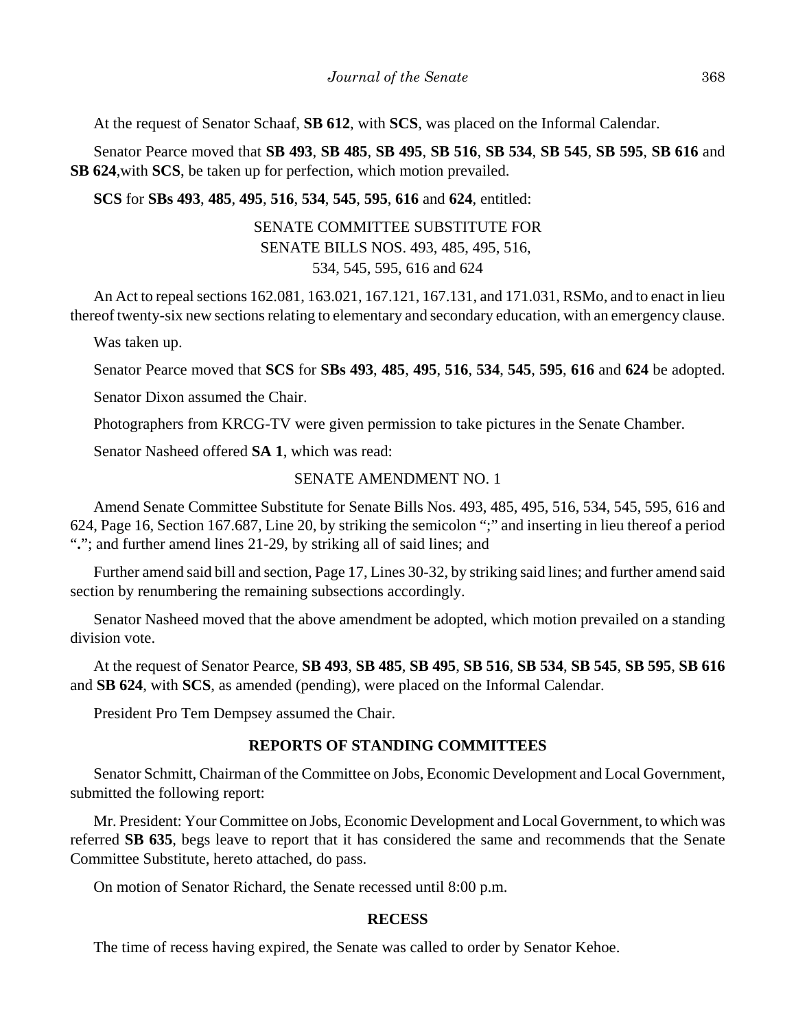At the request of Senator Schaaf, **SB 612**, with **SCS**, was placed on the Informal Calendar.

Senator Pearce moved that **SB 493**, **SB 485**, **SB 495**, **SB 516**, **SB 534**, **SB 545**, **SB 595**, **SB 616** and **SB 624**,with **SCS**, be taken up for perfection, which motion prevailed.

**SCS** for **SBs 493**, **485**, **495**, **516**, **534**, **545**, **595**, **616** and **624**, entitled:

# SENATE COMMITTEE SUBSTITUTE FOR SENATE BILLS NOS. 493, 485, 495, 516, 534, 545, 595, 616 and 624

An Act to repeal sections 162.081, 163.021, 167.121, 167.131, and 171.031, RSMo, and to enact in lieu thereof twenty-six new sections relating to elementary and secondary education, with an emergency clause.

Was taken up.

Senator Pearce moved that **SCS** for **SBs 493**, **485**, **495**, **516**, **534**, **545**, **595**, **616** and **624** be adopted.

Senator Dixon assumed the Chair.

Photographers from KRCG-TV were given permission to take pictures in the Senate Chamber.

Senator Nasheed offered **SA 1**, which was read:

## SENATE AMENDMENT NO. 1

Amend Senate Committee Substitute for Senate Bills Nos. 493, 485, 495, 516, 534, 545, 595, 616 and 624, Page 16, Section 167.687, Line 20, by striking the semicolon ";" and inserting in lieu thereof a period "**.**"; and further amend lines 21-29, by striking all of said lines; and

Further amend said bill and section, Page 17, Lines 30-32, by striking said lines; and further amend said section by renumbering the remaining subsections accordingly.

Senator Nasheed moved that the above amendment be adopted, which motion prevailed on a standing division vote.

At the request of Senator Pearce, **SB 493**, **SB 485**, **SB 495**, **SB 516**, **SB 534**, **SB 545**, **SB 595**, **SB 616** and **SB 624**, with **SCS**, as amended (pending), were placed on the Informal Calendar.

President Pro Tem Dempsey assumed the Chair.

# **REPORTS OF STANDING COMMITTEES**

Senator Schmitt, Chairman of the Committee on Jobs, Economic Development and Local Government, submitted the following report:

Mr. President: Your Committee on Jobs, Economic Development and Local Government, to which was referred **SB 635**, begs leave to report that it has considered the same and recommends that the Senate Committee Substitute, hereto attached, do pass.

On motion of Senator Richard, the Senate recessed until 8:00 p.m.

## **RECESS**

The time of recess having expired, the Senate was called to order by Senator Kehoe.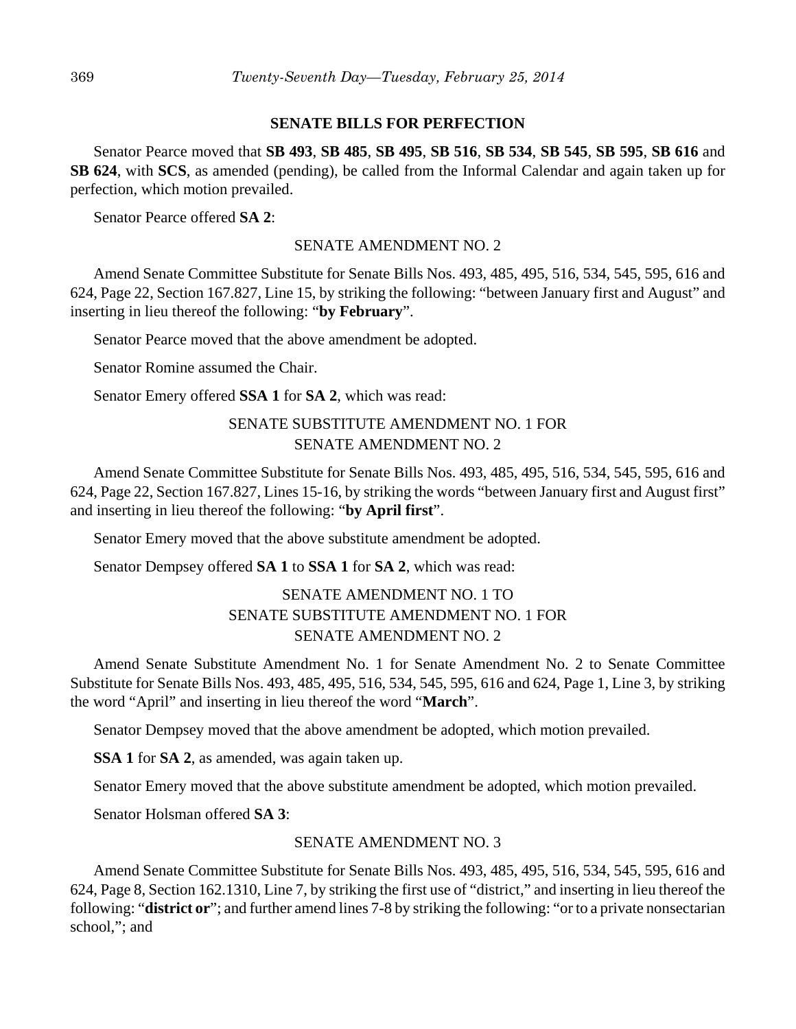#### **SENATE BILLS FOR PERFECTION**

Senator Pearce moved that **SB 493**, **SB 485**, **SB 495**, **SB 516**, **SB 534**, **SB 545**, **SB 595**, **SB 616** and **SB 624**, with **SCS**, as amended (pending), be called from the Informal Calendar and again taken up for perfection, which motion prevailed.

Senator Pearce offered **SA 2**:

#### SENATE AMENDMENT NO. 2

Amend Senate Committee Substitute for Senate Bills Nos. 493, 485, 495, 516, 534, 545, 595, 616 and 624, Page 22, Section 167.827, Line 15, by striking the following: "between January first and August" and inserting in lieu thereof the following: "**by February**".

Senator Pearce moved that the above amendment be adopted.

Senator Romine assumed the Chair.

Senator Emery offered **SSA 1** for **SA 2**, which was read:

# SENATE SUBSTITUTE AMENDMENT NO. 1 FOR SENATE AMENDMENT NO. 2

Amend Senate Committee Substitute for Senate Bills Nos. 493, 485, 495, 516, 534, 545, 595, 616 and 624, Page 22, Section 167.827, Lines 15-16, by striking the words "between January first and August first" and inserting in lieu thereof the following: "**by April first**".

Senator Emery moved that the above substitute amendment be adopted.

Senator Dempsey offered **SA 1** to **SSA 1** for **SA 2**, which was read:

# SENATE AMENDMENT NO. 1 TO SENATE SUBSTITUTE AMENDMENT NO. 1 FOR SENATE AMENDMENT NO. 2

Amend Senate Substitute Amendment No. 1 for Senate Amendment No. 2 to Senate Committee Substitute for Senate Bills Nos. 493, 485, 495, 516, 534, 545, 595, 616 and 624, Page 1, Line 3, by striking the word "April" and inserting in lieu thereof the word "**March**".

Senator Dempsey moved that the above amendment be adopted, which motion prevailed.

**SSA 1** for **SA 2**, as amended, was again taken up.

Senator Emery moved that the above substitute amendment be adopted, which motion prevailed.

Senator Holsman offered **SA 3**:

#### SENATE AMENDMENT NO. 3

Amend Senate Committee Substitute for Senate Bills Nos. 493, 485, 495, 516, 534, 545, 595, 616 and 624, Page 8, Section 162.1310, Line 7, by striking the first use of "district," and inserting in lieu thereof the following: "**district or**"; and further amend lines 7-8 by striking the following: "or to a private nonsectarian school,"; and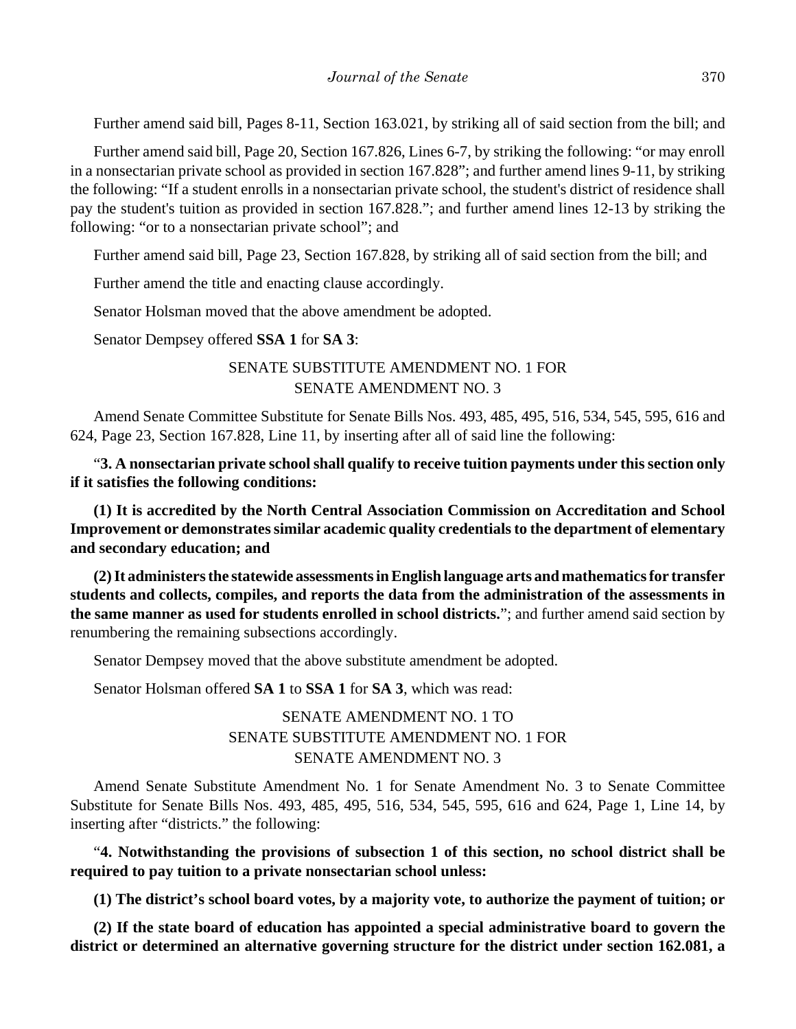Further amend said bill, Pages 8-11, Section 163.021, by striking all of said section from the bill; and

Further amend said bill, Page 20, Section 167.826, Lines 6-7, by striking the following: "or may enroll in a nonsectarian private school as provided in section 167.828"; and further amend lines 9-11, by striking the following: "If a student enrolls in a nonsectarian private school, the student's district of residence shall pay the student's tuition as provided in section 167.828."; and further amend lines 12-13 by striking the following: "or to a nonsectarian private school"; and

Further amend said bill, Page 23, Section 167.828, by striking all of said section from the bill; and

Further amend the title and enacting clause accordingly.

Senator Holsman moved that the above amendment be adopted.

Senator Dempsey offered **SSA 1** for **SA 3**:

# SENATE SUBSTITUTE AMENDMENT NO. 1 FOR SENATE AMENDMENT NO. 3

Amend Senate Committee Substitute for Senate Bills Nos. 493, 485, 495, 516, 534, 545, 595, 616 and 624, Page 23, Section 167.828, Line 11, by inserting after all of said line the following:

"**3. A nonsectarian private school shall qualify to receive tuition payments under this section only if it satisfies the following conditions:**

**(1) It is accredited by the North Central Association Commission on Accreditation and School Improvement or demonstrates similar academic quality credentials to the department of elementary and secondary education; and**

**(2) It administers the statewide assessments in English language arts and mathematics for transfer students and collects, compiles, and reports the data from the administration of the assessments in the same manner as used for students enrolled in school districts.**"; and further amend said section by renumbering the remaining subsections accordingly.

Senator Dempsey moved that the above substitute amendment be adopted.

Senator Holsman offered **SA 1** to **SSA 1** for **SA 3**, which was read:

# SENATE AMENDMENT NO. 1 TO SENATE SUBSTITUTE AMENDMENT NO. 1 FOR SENATE AMENDMENT NO. 3

Amend Senate Substitute Amendment No. 1 for Senate Amendment No. 3 to Senate Committee Substitute for Senate Bills Nos. 493, 485, 495, 516, 534, 545, 595, 616 and 624, Page 1, Line 14, by inserting after "districts." the following:

"**4. Notwithstanding the provisions of subsection 1 of this section, no school district shall be required to pay tuition to a private nonsectarian school unless:**

**(1) The district's school board votes, by a majority vote, to authorize the payment of tuition; or**

**(2) If the state board of education has appointed a special administrative board to govern the district or determined an alternative governing structure for the district under section 162.081, a**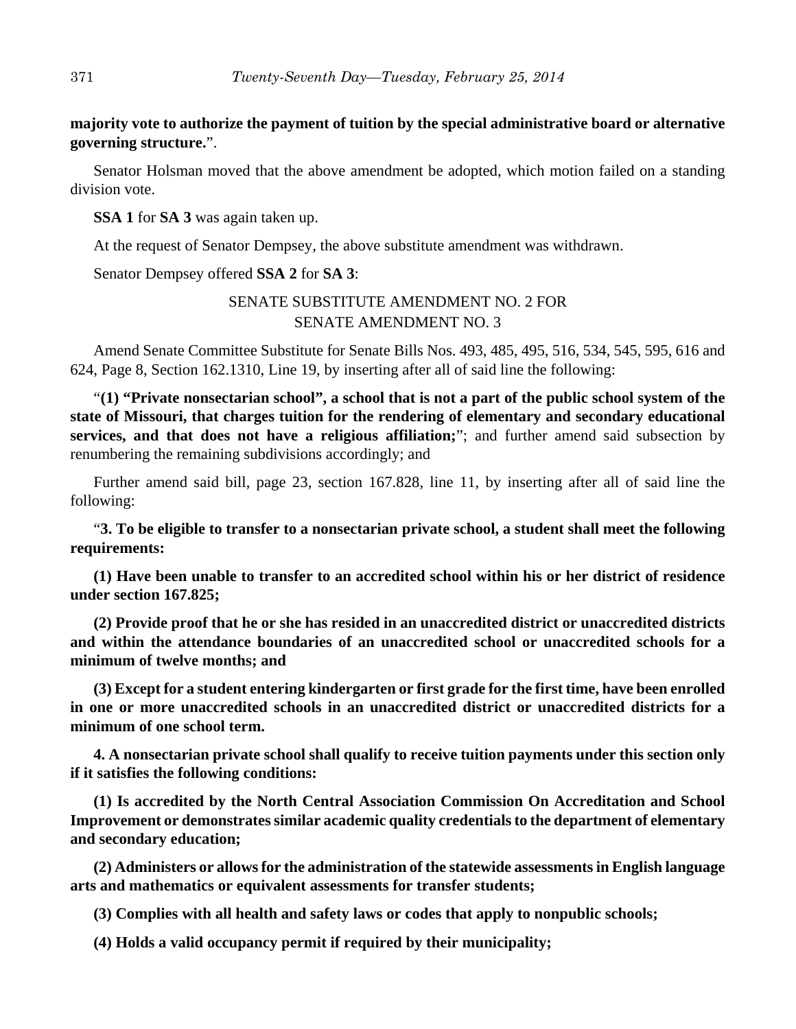## **majority vote to authorize the payment of tuition by the special administrative board or alternative governing structure.**".

Senator Holsman moved that the above amendment be adopted, which motion failed on a standing division vote.

**SSA 1** for **SA 3** was again taken up.

At the request of Senator Dempsey, the above substitute amendment was withdrawn.

Senator Dempsey offered **SSA 2** for **SA 3**:

# SENATE SUBSTITUTE AMENDMENT NO. 2 FOR SENATE AMENDMENT NO. 3

Amend Senate Committee Substitute for Senate Bills Nos. 493, 485, 495, 516, 534, 545, 595, 616 and 624, Page 8, Section 162.1310, Line 19, by inserting after all of said line the following:

"**(1) "Private nonsectarian school", a school that is not a part of the public school system of the state of Missouri, that charges tuition for the rendering of elementary and secondary educational services, and that does not have a religious affiliation;**"; and further amend said subsection by renumbering the remaining subdivisions accordingly; and

Further amend said bill, page 23, section 167.828, line 11, by inserting after all of said line the following:

"**3. To be eligible to transfer to a nonsectarian private school, a student shall meet the following requirements:**

**(1) Have been unable to transfer to an accredited school within his or her district of residence under section 167.825;**

**(2) Provide proof that he or she has resided in an unaccredited district or unaccredited districts and within the attendance boundaries of an unaccredited school or unaccredited schools for a minimum of twelve months; and**

**(3) Except for a student entering kindergarten or first grade for the first time, have been enrolled in one or more unaccredited schools in an unaccredited district or unaccredited districts for a minimum of one school term.**

**4. A nonsectarian private school shall qualify to receive tuition payments under this section only if it satisfies the following conditions:**

**(1) Is accredited by the North Central Association Commission On Accreditation and School Improvement or demonstrates similar academic quality credentials to the department of elementary and secondary education;**

**(2) Administers or allows for the administration of the statewide assessments in English language arts and mathematics or equivalent assessments for transfer students;**

**(3) Complies with all health and safety laws or codes that apply to nonpublic schools;**

**(4) Holds a valid occupancy permit if required by their municipality;**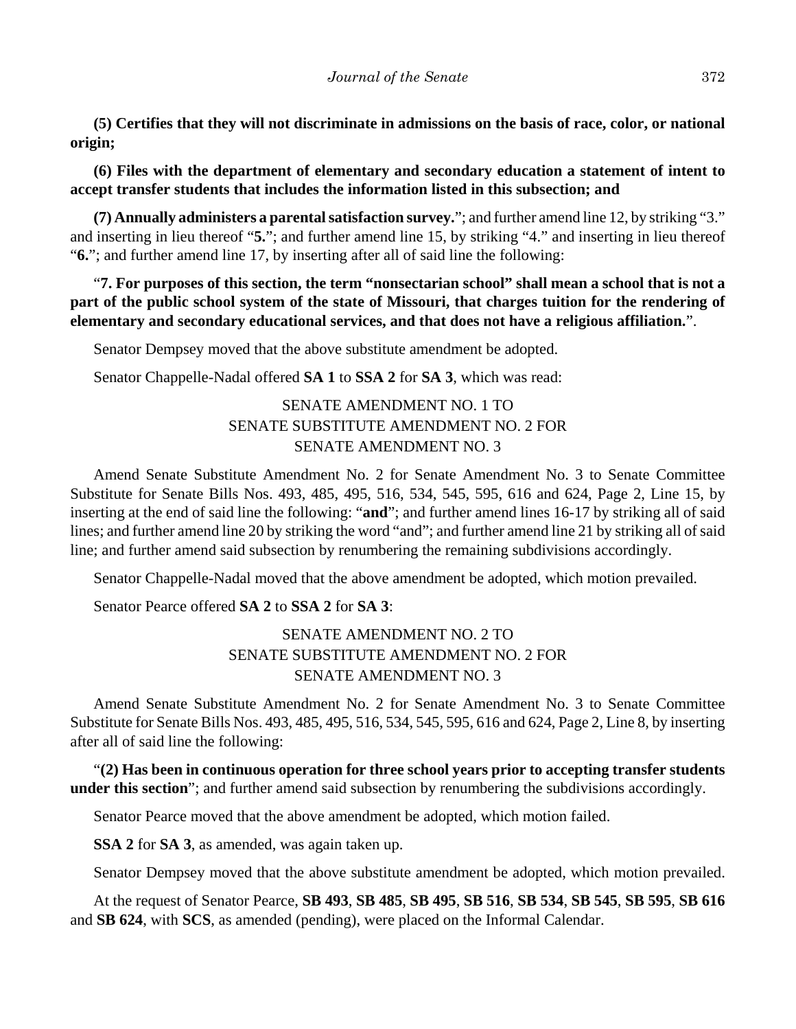**(5) Certifies that they will not discriminate in admissions on the basis of race, color, or national origin;**

**(6) Files with the department of elementary and secondary education a statement of intent to accept transfer students that includes the information listed in this subsection; and**

**(7) Annually administers a parental satisfaction survey.**"; and further amend line 12, by striking "3." and inserting in lieu thereof "**5.**"; and further amend line 15, by striking "4." and inserting in lieu thereof "**6.**"; and further amend line 17, by inserting after all of said line the following:

"**7. For purposes of this section, the term "nonsectarian school" shall mean a school that is not a part of the public school system of the state of Missouri, that charges tuition for the rendering of elementary and secondary educational services, and that does not have a religious affiliation.**".

Senator Dempsey moved that the above substitute amendment be adopted.

Senator Chappelle-Nadal offered **SA 1** to **SSA 2** for **SA 3**, which was read:

# SENATE AMENDMENT NO. 1 TO SENATE SUBSTITUTE AMENDMENT NO. 2 FOR SENATE AMENDMENT NO. 3

Amend Senate Substitute Amendment No. 2 for Senate Amendment No. 3 to Senate Committee Substitute for Senate Bills Nos. 493, 485, 495, 516, 534, 545, 595, 616 and 624, Page 2, Line 15, by inserting at the end of said line the following: "**and**"; and further amend lines 16-17 by striking all of said lines; and further amend line 20 by striking the word "and"; and further amend line 21 by striking all of said line; and further amend said subsection by renumbering the remaining subdivisions accordingly.

Senator Chappelle-Nadal moved that the above amendment be adopted, which motion prevailed.

Senator Pearce offered **SA 2** to **SSA 2** for **SA 3**:

# SENATE AMENDMENT NO. 2 TO SENATE SUBSTITUTE AMENDMENT NO. 2 FOR SENATE AMENDMENT NO. 3

Amend Senate Substitute Amendment No. 2 for Senate Amendment No. 3 to Senate Committee Substitute for Senate Bills Nos. 493, 485, 495, 516, 534, 545, 595, 616 and 624, Page 2, Line 8, by inserting after all of said line the following:

"**(2) Has been in continuous operation for three school years prior to accepting transfer students under this section**"; and further amend said subsection by renumbering the subdivisions accordingly.

Senator Pearce moved that the above amendment be adopted, which motion failed.

**SSA 2** for **SA 3**, as amended, was again taken up.

Senator Dempsey moved that the above substitute amendment be adopted, which motion prevailed.

At the request of Senator Pearce, **SB 493**, **SB 485**, **SB 495**, **SB 516**, **SB 534**, **SB 545**, **SB 595**, **SB 616** and **SB 624**, with **SCS**, as amended (pending), were placed on the Informal Calendar.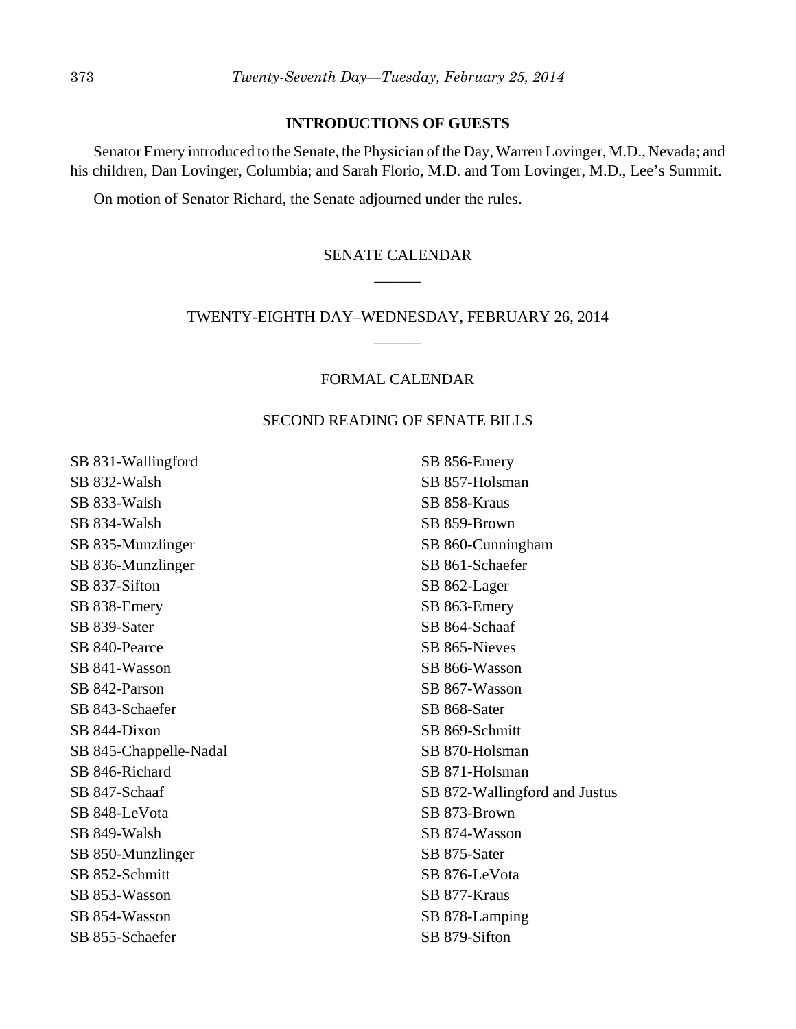#### **INTRODUCTIONS OF GUESTS**

Senator Emery introduced to the Senate, the Physician of the Day, Warren Lovinger, M.D., Nevada; and his children, Dan Lovinger, Columbia; and Sarah Florio, M.D. and Tom Lovinger, M.D., Lee's Summit.

On motion of Senator Richard, the Senate adjourned under the rules.

# SENATE CALENDAR  $\overline{\phantom{a}}$

# TWENTY-EIGHTH DAY–WEDNESDAY, FEBRUARY 26, 2014 \_\_\_\_\_\_

## FORMAL CALENDAR

#### SECOND READING OF SENATE BILLS

SB 831-Wallingford SB 832-Walsh SB 833-Walsh SB 834-Walsh SB 835-Munzlinger SB 836-Munzlinger SB 837-Sifton SB 838-Emery SB 839-Sater SB 840-Pearce SB 841-Wasson SB 842-Parson SB 843-Schaefer SB 844-Dixon SB 845-Chappelle-Nadal SB 846-Richard SB 847-Schaaf SB 848-LeVota SB 849-Walsh SB 850-Munzlinger SB 852-Schmitt SB 853-Wasson SB 854-Wasson SB 855-Schaefer

SB 856-Emery SB 857-Holsman SB 858-Kraus SB 859-Brown SB 860-Cunningham SB 861-Schaefer SB 862-Lager SB 863-Emery SB 864-Schaaf SB 865-Nieves SB 866-Wasson SB 867-Wasson SB 868-Sater SB 869-Schmitt SB 870-Holsman SB 871-Holsman SB 872-Wallingford and Justus SB 873-Brown SB 874-Wasson SB 875-Sater SB 876-LeVota SB 877-Kraus SB 878-Lamping SB 879-Sifton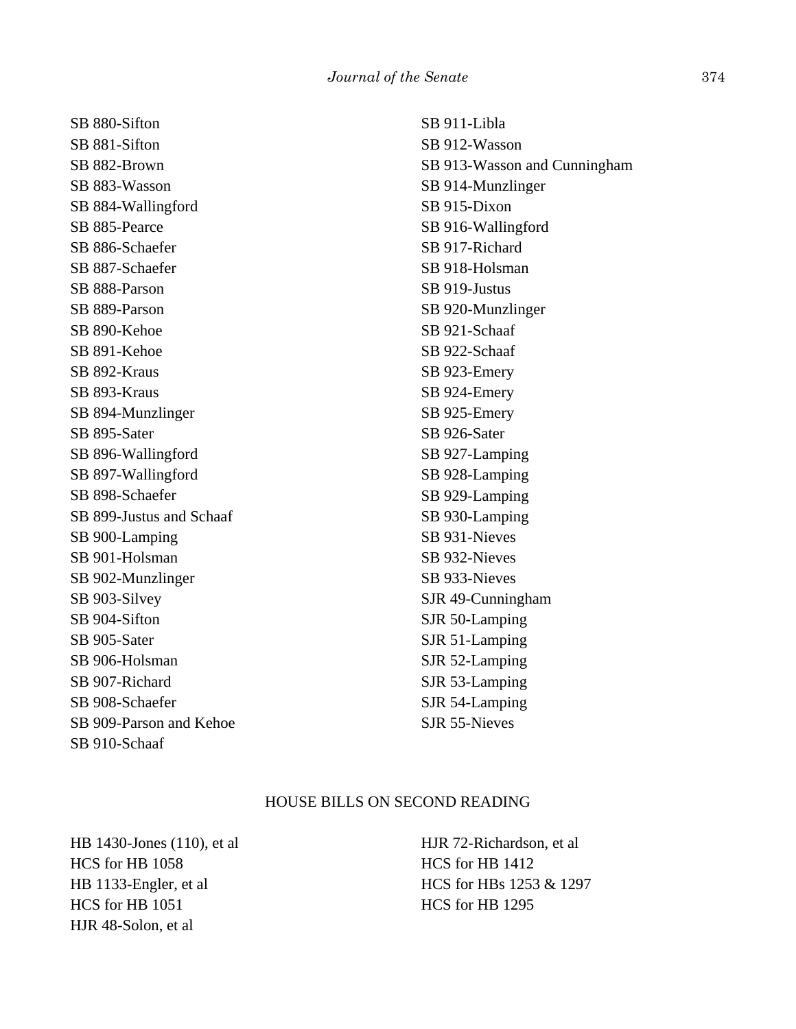SB 880-Sifton SB 881-Sifton SB 882-Brown SB 883-Wasson SB 884-Wallingford SB 885-Pearce SB 886-Schaefer SB 887-Schaefer SB 888-Parson SB 889-Parson SB 890-Kehoe SB 891-Kehoe SB 892-Kraus SB 893-Kraus SB 894-Munzlinger SB 895-Sater SB 896-Wallingford SB 897-Wallingford SB 898-Schaefer SB 899-Justus and Schaaf SB 900-Lamping SB 901-Holsman SB 902-Munzlinger SB 903-Silvey SB 904-Sifton SB 905-Sater SB 906-Holsman SB 907-Richard SB 908-Schaefer SB 909-Parson and Kehoe SB 910-Schaaf

SB 911-Libla SB 912-Wasson SB 913-Wasson and Cunningham SB 914-Munzlinger SB 915-Dixon SB 916-Wallingford SB 917-Richard SB 918-Holsman SB 919-Justus SB 920-Munzlinger SB 921-Schaaf SB 922-Schaaf SB 923-Emery SB 924-Emery SB 925-Emery SB 926-Sater SB 927-Lamping SB 928-Lamping SB 929-Lamping SB 930-Lamping SB 931-Nieves SB 932-Nieves SB 933-Nieves SJR 49-Cunningham SJR 50-Lamping SJR 51-Lamping SJR 52-Lamping SJR 53-Lamping SJR 54-Lamping SJR 55-Nieves

#### HOUSE BILLS ON SECOND READING

HB 1430-Jones (110), et al HCS for HB 1058 HB 1133-Engler, et al HCS for HB 1051 HJR 48-Solon, et al

HJR 72-Richardson, et al HCS for HB 1412 HCS for HBs 1253 & 1297 HCS for HB 1295